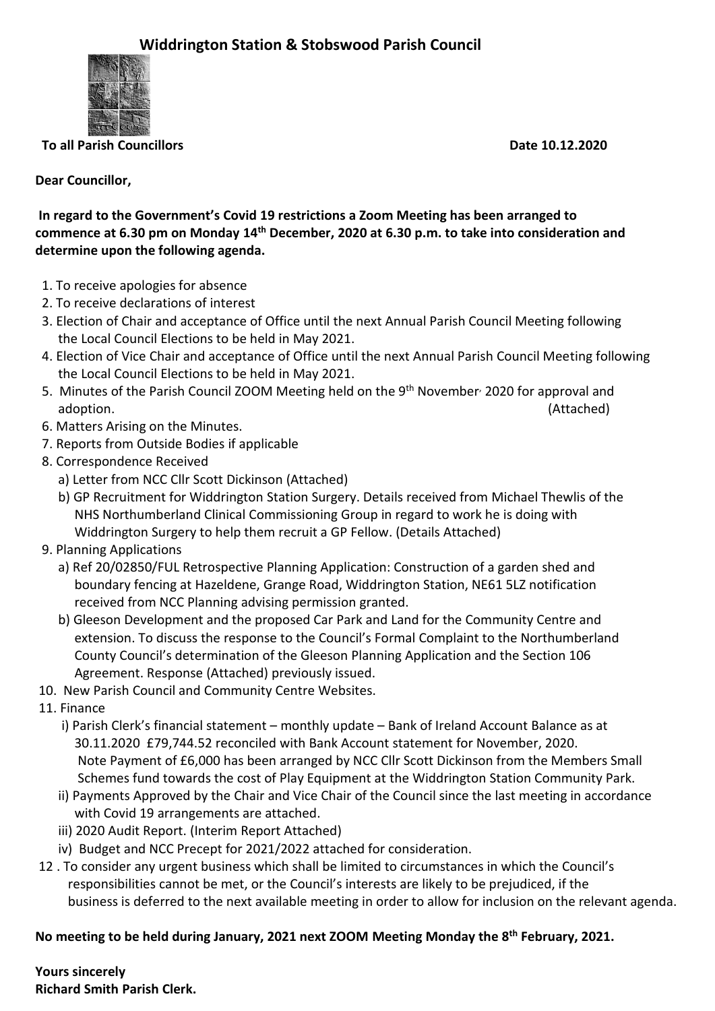

**To all Parish Councillors Contract Contract Contract Contract Contract Contract Contract Contract Contract Contract Contract Contract Contract Contract Contract Contract Contract Contract Contract Contract Contract Contra** 

## **Dear Councillor,**

**In regard to the Government's Covid 19 restrictions a Zoom Meeting has been arranged to commence at 6.30 pm on Monday 14th December, 2020 at 6.30 p.m. to take into consideration and determine upon the following agenda.**

- 1. To receive apologies for absence
- 2. To receive declarations of interest
- 3. Election of Chair and acceptance of Office until the next Annual Parish Council Meeting following the Local Council Elections to be held in May 2021.
- 4. Election of Vice Chair and acceptance of Office until the next Annual Parish Council Meeting following the Local Council Elections to be held in May 2021.
- 5. Minutes of the Parish Council ZOOM Meeting held on the 9<sup>th</sup> November<sup>,</sup> 2020 for approval and adoption. (Attached)
- 6. Matters Arising on the Minutes.
- 7. Reports from Outside Bodies if applicable
- 8. Correspondence Received
	- a) Letter from NCC Cllr Scott Dickinson (Attached)
	- b) GP Recruitment for Widdrington Station Surgery. Details received from Michael Thewlis of the NHS Northumberland Clinical Commissioning Group in regard to work he is doing with Widdrington Surgery to help them recruit a GP Fellow. (Details Attached)
- 9. Planning Applications
	- a) Ref 20/02850/FUL Retrospective Planning Application: Construction of a garden shed and boundary fencing at Hazeldene, Grange Road, Widdrington Station, NE61 5LZ notification received from NCC Planning advising permission granted.
	- b) Gleeson Development and the proposed Car Park and Land for the Community Centre and extension. To discuss the response to the Council's Formal Complaint to the Northumberland County Council's determination of the Gleeson Planning Application and the Section 106 Agreement. Response (Attached) previously issued.
- 10. New Parish Council and Community Centre Websites.
- 11. Finance
	- i) Parish Clerk's financial statement monthly update Bank of Ireland Account Balance as at 30.11.2020 £79,744.52 reconciled with Bank Account statement for November, 2020. Note Payment of £6,000 has been arranged by NCC Cllr Scott Dickinson from the Members Small Schemes fund towards the cost of Play Equipment at the Widdrington Station Community Park.
	- ii) Payments Approved by the Chair and Vice Chair of the Council since the last meeting in accordance with Covid 19 arrangements are attached.
	- iii) 2020 Audit Report. (Interim Report Attached)
	- iv) Budget and NCC Precept for 2021/2022 attached for consideration.
- 12 . To consider any urgent business which shall be limited to circumstances in which the Council's responsibilities cannot be met, or the Council's interests are likely to be prejudiced, if the business is deferred to the next available meeting in order to allow for inclusion on the relevant agenda.

## **No meeting to be held during January, 2021 next ZOOM Meeting Monday the 8th February, 2021.**

**Yours sincerely Richard Smith Parish Clerk.**